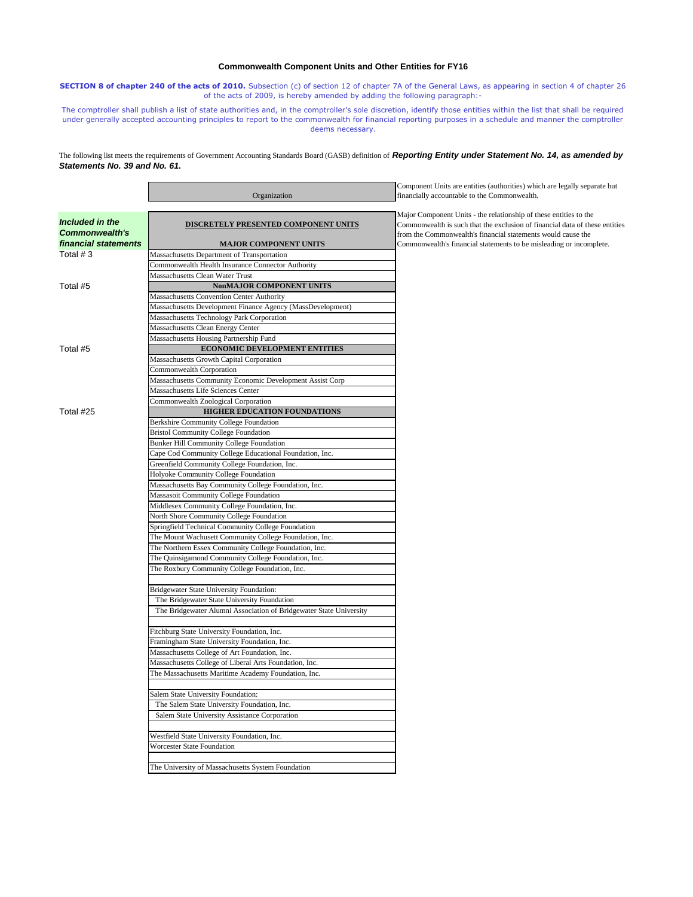## **Commonwealth Component Units and Other Entities for FY16**

**SECTION 8 of chapter 240 of the acts of 2010.** Subsection (c) of section 12 of chapter 7A of the General Laws, as appearing in section 4 of chapter 26 of the acts of 2009, is hereby amended by adding the following paragraph:-

The comptroller shall publish a list of state authorities and, in the comptroller's sole discretion, identify those entities within the list that shall be required under generally accepted accounting principles to report to the commonwealth for financial reporting purposes in a schedule and manner the comptroller deems necessary.

The following list meets the requirements of Government Accounting Standards Board (GASB) definition of *Reporting Entity under Statement No. 14, as amended by Statements No. 39 and No. 61.*

|                       |                                                                    | Component Units are entities (authorities) which are legally separate but   |
|-----------------------|--------------------------------------------------------------------|-----------------------------------------------------------------------------|
|                       | Organization                                                       | financially accountable to the Commonwealth.                                |
|                       |                                                                    |                                                                             |
| Included in the       |                                                                    | Major Component Units - the relationship of these entities to the           |
| <b>Commonwealth's</b> | DISCRETELY PRESENTED COMPONENT UNITS                               | Commonwealth is such that the exclusion of financial data of these entities |
| financial statements  |                                                                    | from the Commonwealth's financial statements would cause the                |
|                       | <b>MAJOR COMPONENT UNITS</b>                                       | Commonwealth's financial statements to be misleading or incomplete.         |
| Total $#3$            | Massachusetts Department of Transportation                         |                                                                             |
|                       | Commonwealth Health Insurance Connector Authority                  |                                                                             |
|                       | Massachusetts Clean Water Trust                                    |                                                                             |
| Total #5              | NonMAJOR COMPONENT UNITS                                           |                                                                             |
|                       | Massachusetts Convention Center Authority                          |                                                                             |
|                       | Massachusetts Development Finance Agency (MassDevelopment)         |                                                                             |
|                       | Massachusetts Technology Park Corporation                          |                                                                             |
|                       | Massachusetts Clean Energy Center                                  |                                                                             |
|                       | Massachusetts Housing Partnership Fund                             |                                                                             |
| Total #5              | <b>ECONOMIC DEVELOPMENT ENTITIES</b>                               |                                                                             |
|                       | Massachusetts Growth Capital Corporation                           |                                                                             |
|                       | Commonwealth Corporation                                           |                                                                             |
|                       | Massachusetts Community Economic Development Assist Corp           |                                                                             |
|                       | Massachusetts Life Sciences Center                                 |                                                                             |
|                       | Commonwealth Zoological Corporation                                |                                                                             |
| Total #25             | HIGHER EDUCATION FOUNDATIONS                                       |                                                                             |
|                       | Berkshire Community College Foundation                             |                                                                             |
|                       | <b>Bristol Community College Foundation</b>                        |                                                                             |
|                       | <b>Bunker Hill Community College Foundation</b>                    |                                                                             |
|                       | Cape Cod Community College Educational Foundation, Inc.            |                                                                             |
|                       | Greenfield Community College Foundation, Inc.                      |                                                                             |
|                       | Holyoke Community College Foundation                               |                                                                             |
|                       | Massachusetts Bay Community College Foundation, Inc.               |                                                                             |
|                       | Massasoit Community College Foundation                             |                                                                             |
|                       | Middlesex Community College Foundation, Inc.                       |                                                                             |
|                       | North Shore Community College Foundation                           |                                                                             |
|                       | Springfield Technical Community College Foundation                 |                                                                             |
|                       | The Mount Wachusett Community College Foundation, Inc.             |                                                                             |
|                       | The Northern Essex Community College Foundation, Inc.              |                                                                             |
|                       | The Quinsigamond Community College Foundation, Inc.                |                                                                             |
|                       | The Roxbury Community College Foundation, Inc.                     |                                                                             |
|                       |                                                                    |                                                                             |
|                       | Bridgewater State University Foundation:                           |                                                                             |
|                       | The Bridgewater State University Foundation                        |                                                                             |
|                       | The Bridgewater Alumni Association of Bridgewater State University |                                                                             |
|                       |                                                                    |                                                                             |
|                       | Fitchburg State University Foundation, Inc.                        |                                                                             |
|                       | Framingham State University Foundation, Inc.                       |                                                                             |
|                       | Massachusetts College of Art Foundation, Inc.                      |                                                                             |
|                       | Massachusetts College of Liberal Arts Foundation, Inc.             |                                                                             |
|                       | The Massachusetts Maritime Academy Foundation, Inc.                |                                                                             |
|                       |                                                                    |                                                                             |
|                       | Salem State University Foundation:                                 |                                                                             |
|                       | The Salem State University Foundation, Inc.                        |                                                                             |
|                       | Salem State University Assistance Corporation                      |                                                                             |
|                       |                                                                    |                                                                             |
|                       | Westfield State University Foundation, Inc.                        |                                                                             |
|                       | Worcester State Foundation                                         |                                                                             |
|                       |                                                                    |                                                                             |
|                       | The University of Massachusetts System Foundation                  |                                                                             |
|                       |                                                                    |                                                                             |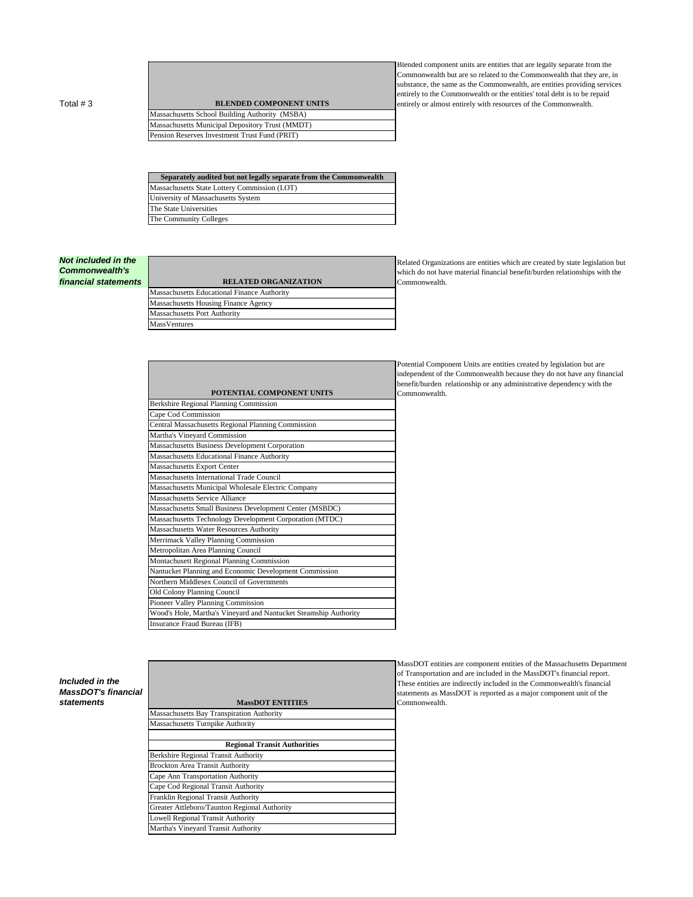Total # 3 **BLENDED COMPONENT UNITS** 

Massachusetts School Building Authority (MSBA) Massachusetts Municipal Depository Trust (MMDT) Pension Reserves Investment Trust Fund (PRIT)

Blended component units are entities that are legally separate from the Commonwealth but are so related to the Commonwealth that they are, in substance, the same as the Commonwealth, are entities providing services entirely to the Commonwealth or the entities' total debt is to be repaid entirely or almost entirely with resources of the Commonwealth.

**Separately audited but not legally separate from the Commonwealth** Massachusetts State Lottery Commission (LOT) University of Massachusetts System The State Universities The Community Colleges

## *Not included in the Commonwealth's*

*financial statements* **RELATED ORGANIZATION** Massachusetts Educational Finance Authority Massachusetts Housing Finance Agency Massachusetts Port Authority **MassVentures** 

| POTENTIAL COMPONENT UNITS                                        |
|------------------------------------------------------------------|
| Berkshire Regional Planning Commission                           |
| Cape Cod Commission                                              |
| Central Massachusetts Regional Planning Commission               |
| Martha's Vineyard Commission                                     |
| Massachusetts Business Development Corporation                   |
| Massachusetts Educational Finance Authority                      |
| Massachusetts Export Center                                      |
| Massachusetts International Trade Council                        |
| Massachusetts Municipal Wholesale Electric Company               |
| Massachusetts Service Alliance                                   |
| Massachusetts Small Business Development Center (MSBDC)          |
| Massachusetts Technology Development Corporation (MTDC)          |
| Massachusetts Water Resources Authority                          |
| Merrimack Valley Planning Commission                             |
| Metropolitan Area Planning Council                               |
| Montachusett Regional Planning Commission                        |
| Nantucket Planning and Economic Development Commission           |
| Northern Middlesex Council of Governments                        |
| Old Colony Planning Council                                      |
| Pioneer Valley Planning Commission                               |
| Wood's Hole, Martha's Vineyard and Nantucket Steamship Authority |
| Insurance Fraud Bureau (IFB)                                     |

## Related Organizations are entities which are created by state legislation but which do not have material financial benefit/burden relationships with the Commonwealth.

Potential Component Units are entities created by legislation but are independent of the Commonwealth because they do not have any financial benefit/burden relationship or any administrative dependency with the Commonwealth.

*Included in the MassDOT's financial*   $statements$ 

| MassDOT ENTITIES                             |
|----------------------------------------------|
| Massachusetts Bay Transpiration Authority    |
| <b>Massachusetts Turnpike Authority</b>      |
|                                              |
| <b>Regional Transit Authorities</b>          |
| Berkshire Regional Transit Authority         |
| <b>Brockton Area Transit Authority</b>       |
| Cape Ann Transportation Authority            |
| Cape Cod Regional Transit Authority          |
| Franklin Regional Transit Authority          |
| Greater Attleboro/Taunton Regional Authority |
| Lowell Regional Transit Authority            |
| Martha's Vineyard Transit Authority          |
|                                              |

MassDOT entities are component entities of the Massachusetts Department of Transportation and are included in the MassDOT's financial report. These entities are indirectly included in the Commonwealth's financial statements as MassDOT is reported as a major component unit of the Commonwealth.